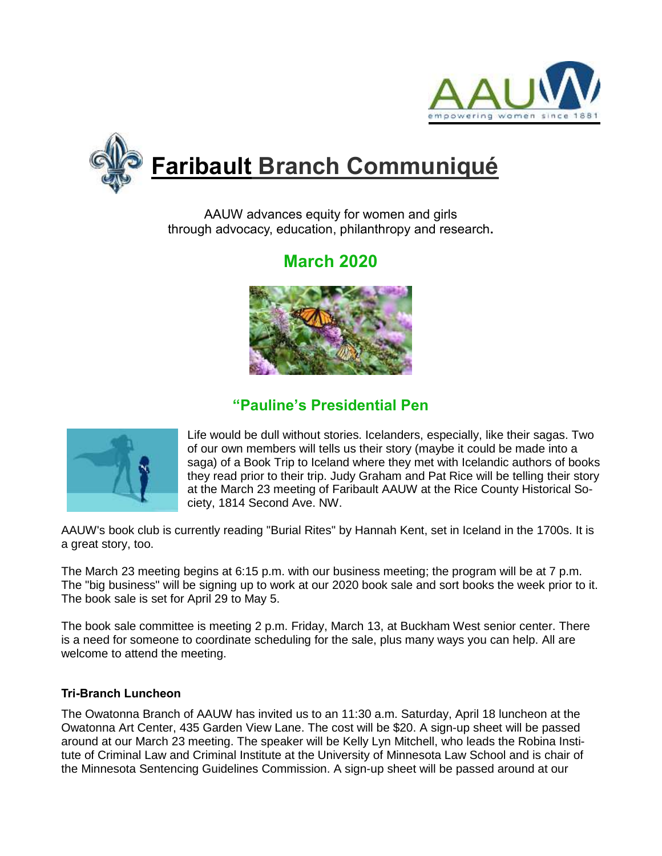



# **Faribault Branch Communiqué**

AAUW advances equity for women and girls through advocacy, education, philanthropy and research**.**

## **March 2020**



### **"Pauline's Presidential Pen**



Life would be dull without stories. Icelanders, especially, like their sagas. Two of our own members will tells us their story (maybe it could be made into a saga) of a Book Trip to Iceland where they met with Icelandic authors of books they read prior to their trip. Judy Graham and Pat Rice will be telling their story at the March 23 meeting of Faribault AAUW at the Rice County Historical Society, 1814 Second Ave. NW.

AAUW's book club is currently reading "Burial Rites" by Hannah Kent, set in Iceland in the 1700s. It is a great story, too.

The March 23 meeting begins at 6:15 p.m. with our business meeting; the program will be at 7 p.m. The "big business" will be signing up to work at our 2020 book sale and sort books the week prior to it. The book sale is set for April 29 to May 5.

The book sale committee is meeting 2 p.m. Friday, March 13, at Buckham West senior center. There is a need for someone to coordinate scheduling for the sale, plus many ways you can help. All are welcome to attend the meeting.

#### **Tri-Branch Luncheon**

The Owatonna Branch of AAUW has invited us to an 11:30 a.m. Saturday, April 18 luncheon at the Owatonna Art Center, 435 Garden View Lane. The cost will be \$20. A sign-up sheet will be passed around at our March 23 meeting. The speaker will be Kelly Lyn Mitchell, who leads the Robina Institute of Criminal Law and Criminal Institute at the University of Minnesota Law School and is chair of the Minnesota Sentencing Guidelines Commission. A sign-up sheet will be passed around at our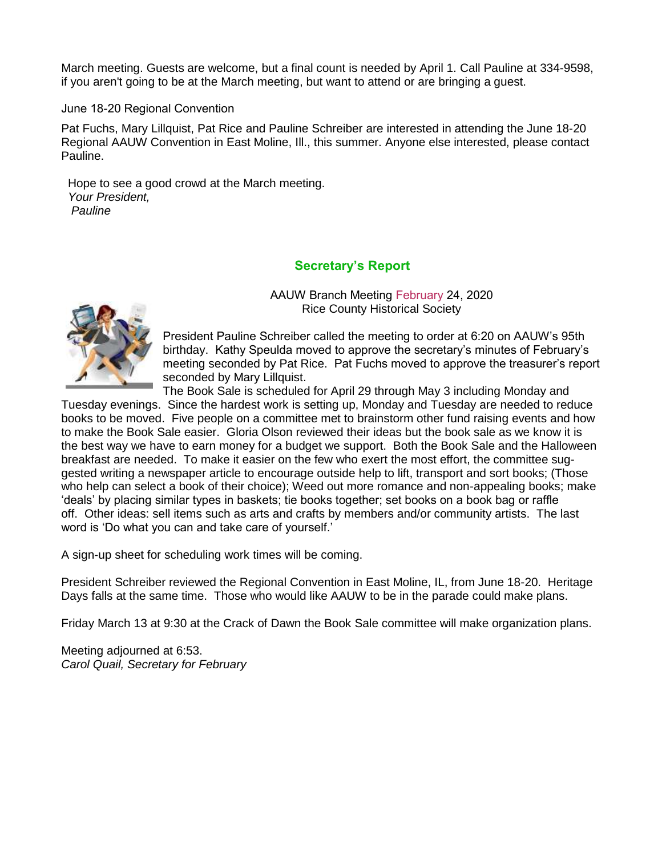March meeting. Guests are welcome, but a final count is needed by April 1. Call Pauline at 334-9598, if you aren't going to be at the March meeting, but want to attend or are bringing a guest.

June 18-20 Regional Convention

Pat Fuchs, Mary Lillquist, Pat Rice and Pauline Schreiber are interested in attending the June 18-20 Regional AAUW Convention in East Moline, Ill., this summer. Anyone else interested, please contact Pauline.

 Hope to see a good crowd at the March meeting.  *Your President, Pauline*

#### **Secretary's Report**



AAUW Branch Meeting February 24, 2020 Rice County Historical Society

President Pauline Schreiber called the meeting to order at 6:20 on AAUW's 95th birthday. Kathy Speulda moved to approve the secretary's minutes of February's meeting seconded by Pat Rice. Pat Fuchs moved to approve the treasurer's report seconded by Mary Lillquist.

The Book Sale is scheduled for April 29 through May 3 including Monday and Tuesday evenings. Since the hardest work is setting up, Monday and Tuesday are needed to reduce books to be moved. Five people on a committee met to brainstorm other fund raising events and how to make the Book Sale easier. Gloria Olson reviewed their ideas but the book sale as we know it is the best way we have to earn money for a budget we support. Both the Book Sale and the Halloween breakfast are needed. To make it easier on the few who exert the most effort, the committee suggested writing a newspaper article to encourage outside help to lift, transport and sort books; (Those who help can select a book of their choice); Weed out more romance and non-appealing books; make 'deals' by placing similar types in baskets; tie books together; set books on a book bag or raffle off. Other ideas: sell items such as arts and crafts by members and/or community artists. The last word is 'Do what you can and take care of yourself.'

A sign-up sheet for scheduling work times will be coming.

President Schreiber reviewed the Regional Convention in East Moline, IL, from June 18-20. Heritage Days falls at the same time. Those who would like AAUW to be in the parade could make plans.

Friday March 13 at 9:30 at the Crack of Dawn the Book Sale committee will make organization plans.

Meeting adjourned at 6:53. *Carol Quail, Secretary for February*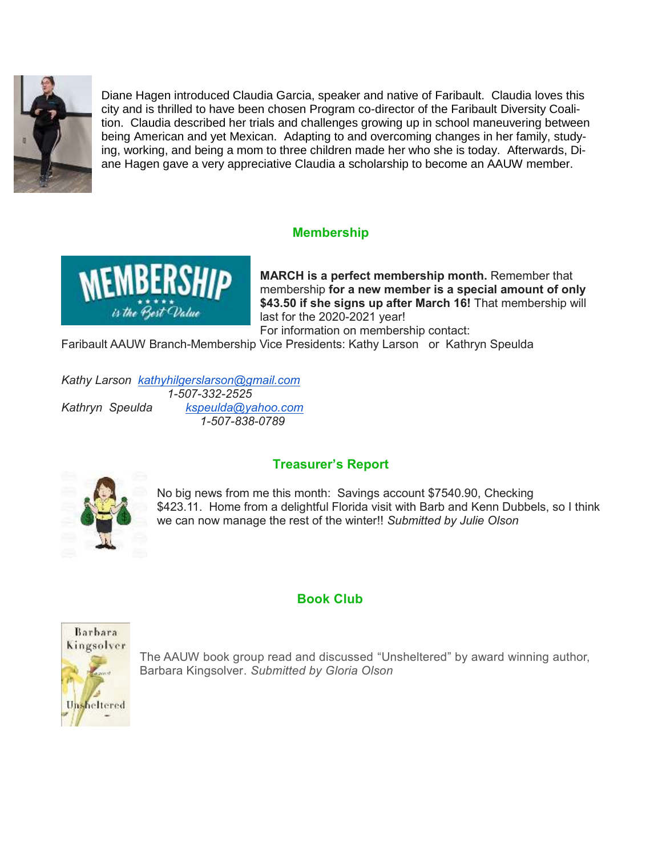

Diane Hagen introduced Claudia Garcia, speaker and native of Faribault. Claudia loves this city and is thrilled to have been chosen Program co-director of the Faribault Diversity Coalition. Claudia described her trials and challenges growing up in school maneuvering between being American and yet Mexican. Adapting to and overcoming changes in her family, studying, working, and being a mom to three children made her who she is today. Afterwards, Diane Hagen gave a very appreciative Claudia a scholarship to become an AAUW member.

#### **Membership**



**MARCH is a perfect membership month.** Remember that membership **for a new member is a special amount of only \$43.50 if she signs up after March 16!** That membership will last for the 2020-2021 year!

For information on membership contact: Faribault AAUW Branch-Membership Vice Presidents: Kathy Larson or Kathryn Speulda

*Kathy Larson [kathyhilgerslarson@gmail.com](mailto:kathyhilgerslarson@gmail.com) 1-507-332-2525 Kathryn Speulda [kspeulda@yahoo.com](mailto:kspeulda@yahoo.com)  1-507-838-0789*

**Treasurer's Report**



No big news from me this month: Savings account \$7540.90, Checking \$423.11. Home from a delightful Florida visit with Barb and Kenn Dubbels, so I think we can now manage the rest of the winter!! *Submitted by Julie Olson*

#### **Book Club**



The AAUW book group read and discussed "Unsheltered" by award winning author, Barbara Kingsolver. *Submitted by Gloria Olson*